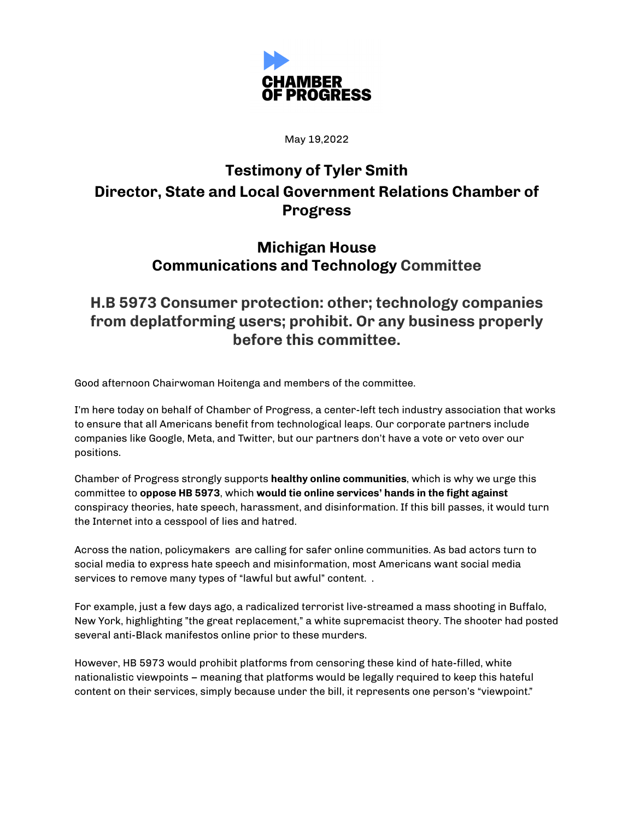

May 19,2022

## **Testimony of Tyler Smith Director, State and Local Government Relations Chamber of Progress**

## **Michigan House Communications and Technology Committee**

## **H.B 5973 Consumer protection: other; technology companies from deplatforming users; prohibit. Or any business properly before this committee.**

Good afternoon Chairwoman Hoitenga and members of the committee.

I'm here today on behalf of Chamber of Progress, a center-left tech industry association that works to ensure that all Americans benefit from technological leaps. Our corporate partners include companies like Google, Meta, and Twitter, but our partners don't have a vote or veto over our positions.

Chamber of Progress strongly supports **healthy online communities**, which is why we urge this committee to **oppose HB 5973**, which **would tie online services' hands in the fight against** conspiracy theories, hate speech, harassment, and disinformation. If this bill passes, it would turn the Internet into a cesspool of lies and hatred.

Across the nation, policymakers are calling for safer online communities. As bad actors turn to social media to express hate speech and misinformation, most Americans want social media services to remove many types of "lawful but awful" content..

For example, just a few days ago, a radicalized terrorist live-streamed a mass shooting in Buffalo, New York, highlighting "the great replacement," a white supremacist theory. The shooter had posted several anti-Black manifestos online prior to these murders.

However, HB 5973 would prohibit platforms from censoring these kind of hate-filled, white nationalistic viewpoints – meaning that platforms would be legally required to keep this hateful content on their services, simply because under the bill, it represents one person's "viewpoint."